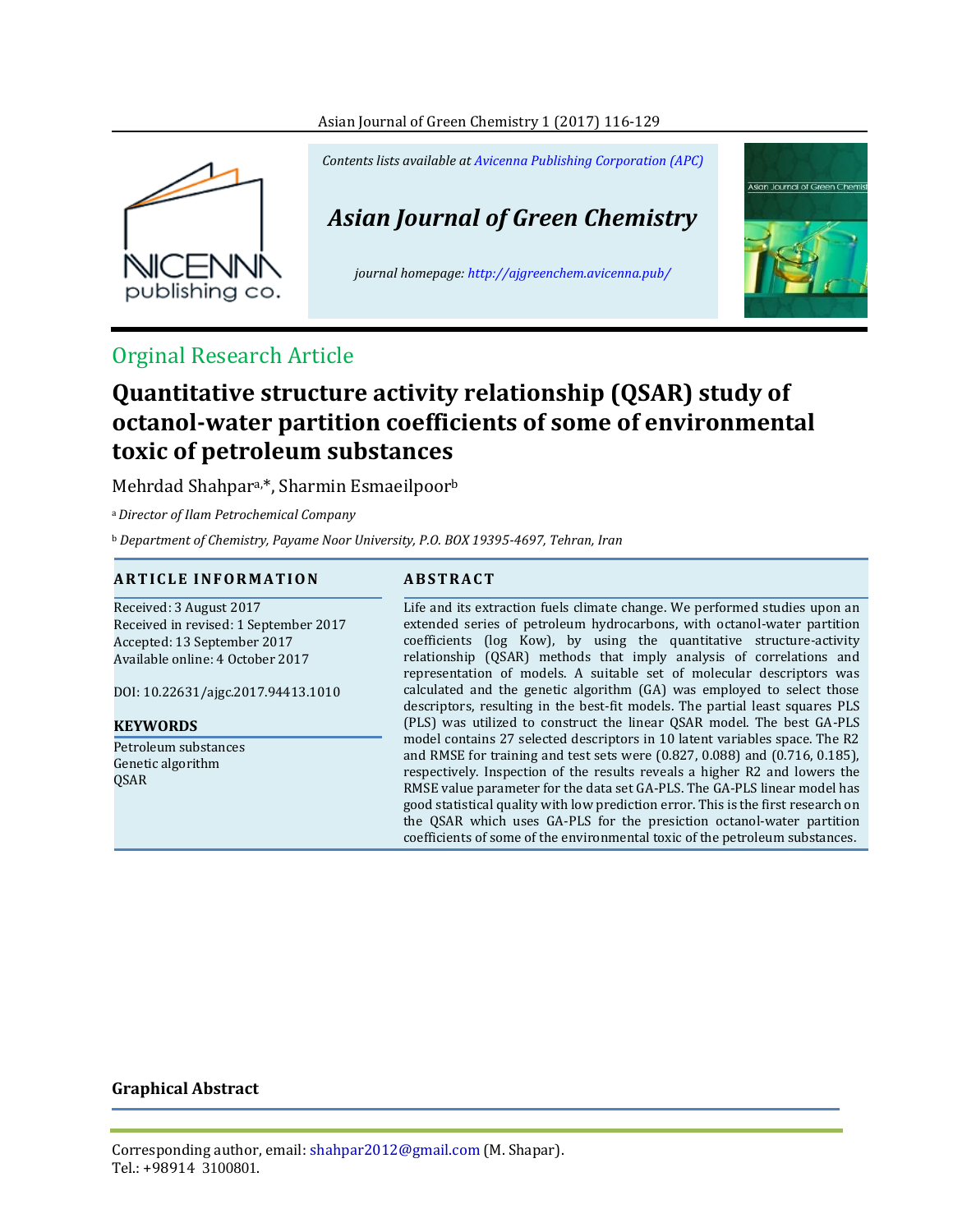#### Asian Journal of Green Chemistry 1 (2017) 116-129



*Contents lists available at [Avicenna Publishing Corporation \(APC\)](http://www.avicenna.pub/)*

*Asian Journal of Green Chemistry*

*journal homepage: http://ajgreenchem.avicenna.pub/*



## Orginal Research Article

# **Quantitative structure activity relationship (QSAR) study of octanol-water partition coefficients of some of environmental toxic of petroleum substances**

Mehrdad Shahpara,\*, Sharmin Esmaeilpoor<sup>b</sup>

<sup>a</sup>*Director of Ilam Petrochemical Company*

<sup>b</sup> *Department of Chemistry, Payame Noor University, P.O. BOX 19395-4697, Tehran, Iran*

#### **A R T I C L E I N F O R M A T I O N A B S T R A C T**

Received: 3 August 2017 Received in revised: 1 September 2017 Accepted: 13 September 2017 Available online: 4 October 2017 DOI: 10.22631/ajgc.2017.94413.1010 **KEYWORDS** Petroleum substances Genetic algorithm QSAR

Life and its extraction fuels climate change. We performed studies upon an extended series of petroleum hydrocarbons, with octanol-water partition coefficients (log Kow), by using the quantitative structure-activity relationship (QSAR) methods that imply analysis of correlations and representation of models. A suitable set of molecular descriptors was calculated and the genetic algorithm (GA) was employed to select those descriptors, resulting in the best-fit models. The partial least squares PLS (PLS) was utilized to construct the linear QSAR model. The best GA-PLS model contains 27 selected descriptors in 10 latent variables space. The R2 and RMSE for training and test sets were (0.827, 0.088) and (0.716, 0.185), respectively. Inspection of the results reveals a higher R2 and lowers the RMSE value parameter for the data set GA-PLS. The GA-PLS linear model has good statistical quality with low prediction error. This is the first research on the QSAR which uses GA-PLS for the presiction octanol-water partition coefficients of some of the environmental toxic of the petroleum substances.

#### **Graphical Abstract**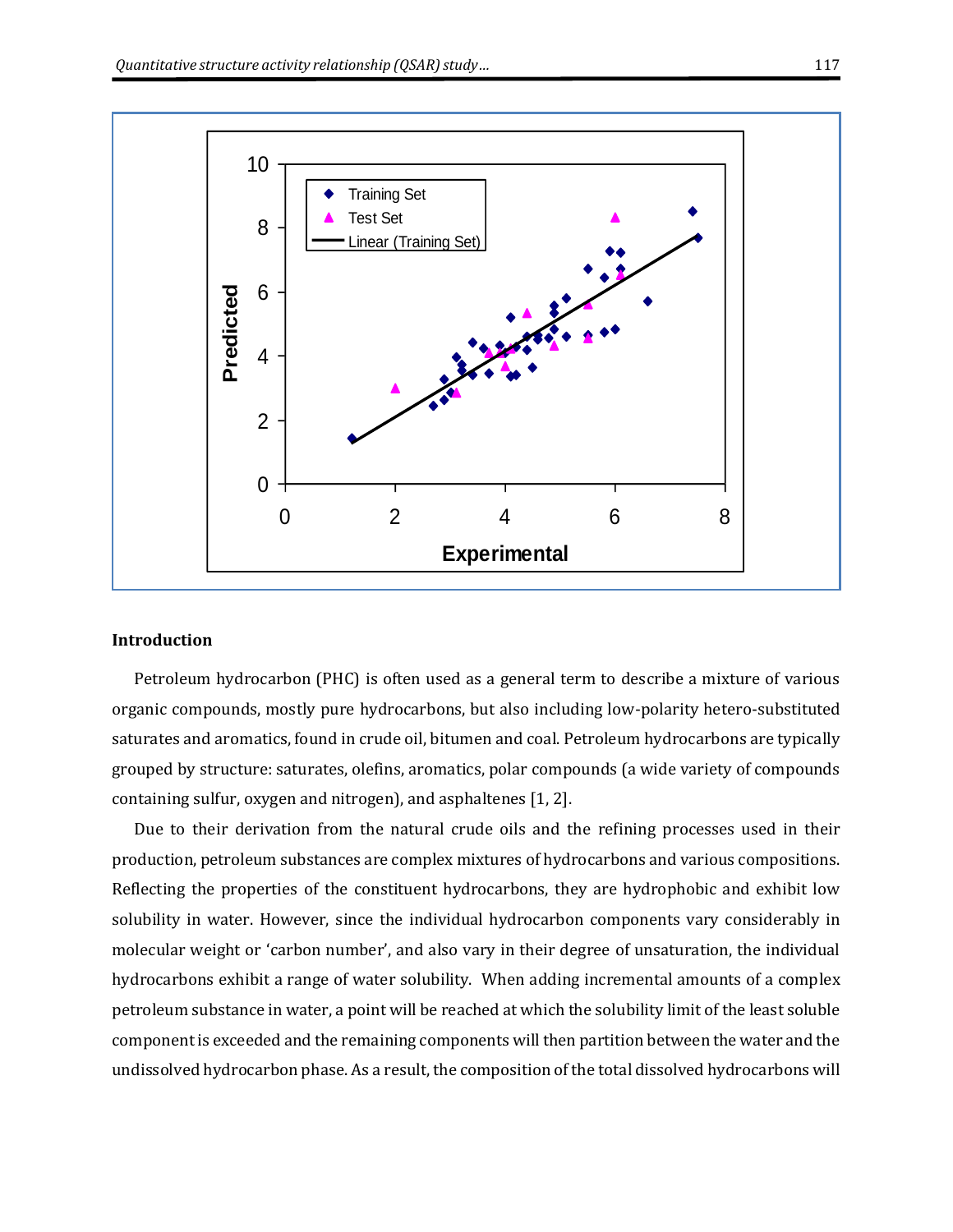

#### **Introduction**

Petroleum hydrocarbon (PHC) is often used as a general term to describe a mixture of various organic compounds, mostly pure hydrocarbons, but also including low-polarity hetero-substituted saturates and aromatics, found in crude oil, bitumen and coal. Petroleum hydrocarbons are typically grouped by structure: saturates, olefins, aromatics, polar compounds (a wide variety of compounds containing sulfur, oxygen and nitrogen), and asphaltenes [1, 2].

Due to their derivation from the natural crude oils and the refining processes used in their production, petroleum substances are complex mixtures of hydrocarbons and various compositions. Reflecting the properties of the constituent hydrocarbons, they are hydrophobic and exhibit low solubility in water. However, since the individual hydrocarbon components vary considerably in molecular weight or 'carbon number', and also vary in their degree of unsaturation, the individual hydrocarbons exhibit a range of water solubility. When adding incremental amounts of a complex petroleum substance in water, a point will be reached at which the solubility limit of the least soluble component is exceeded and the remaining components will then partition between the water and the undissolved hydrocarbon phase. As a result, the composition of the total dissolved hydrocarbons will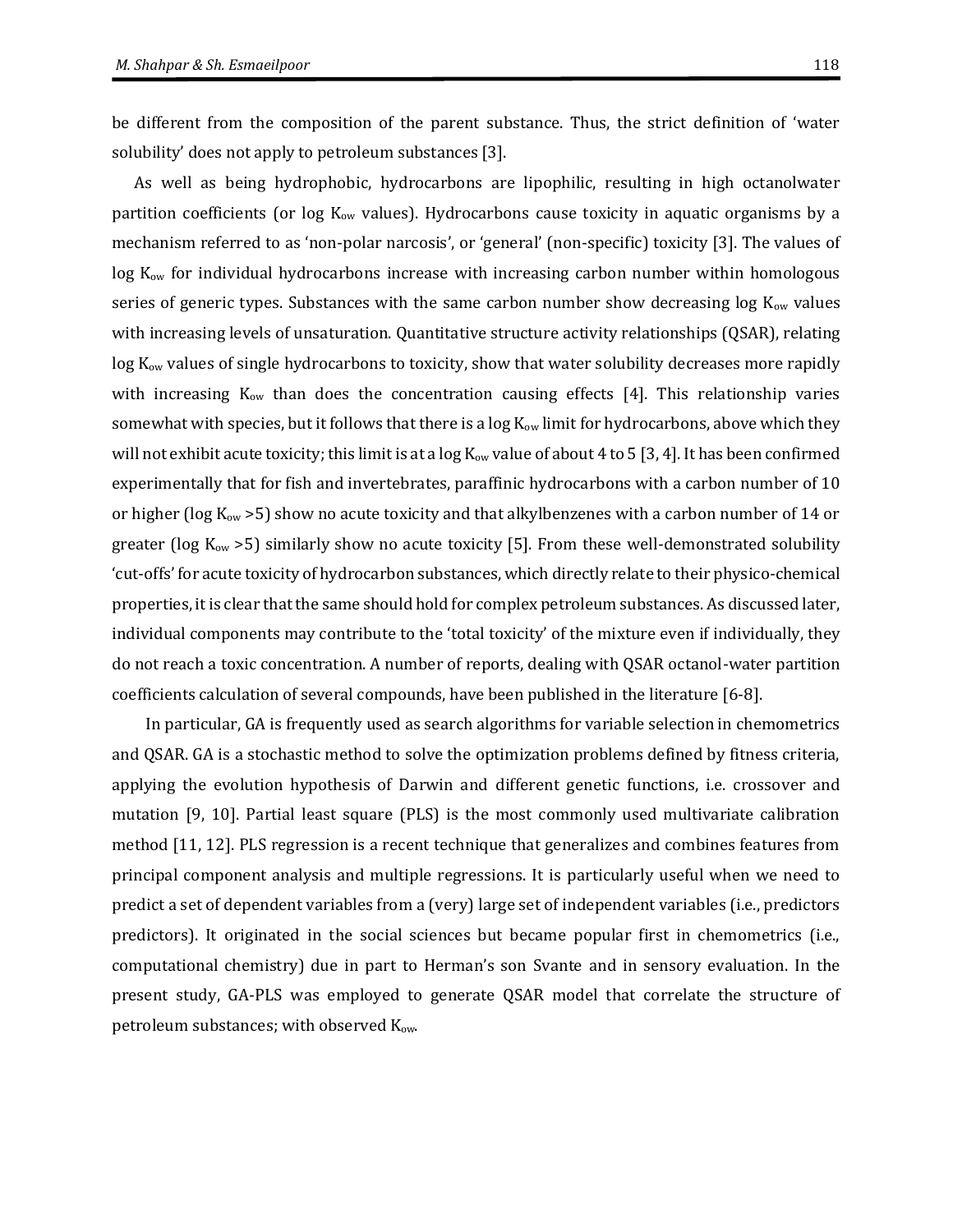be different from the composition of the parent substance. Thus, the strict definition of 'water solubility' does not apply to petroleum substances [3].

As well as being hydrophobic, hydrocarbons are lipophilic, resulting in high octanolwater partition coefficients (or log K<sub>ow</sub> values). Hydrocarbons cause toxicity in aquatic organisms by a mechanism referred to as 'non-polar narcosis', or 'general' (non-specific) toxicity [3]. The values of log K<sub>ow</sub> for individual hydrocarbons increase with increasing carbon number within homologous series of generic types. Substances with the same carbon number show decreasing  $log K<sub>ow</sub>$  values with increasing levels of unsaturation. Quantitative structure activity relationships (QSAR), relating log K<sub>ow</sub> values of single hydrocarbons to toxicity, show that water solubility decreases more rapidly with increasing  $K_{ow}$  than does the concentration causing effects [4]. This relationship varies somewhat with species, but it follows that there is a  $log K<sub>ow</sub>$  limit for hydrocarbons, above which they will not exhibit acute toxicity; this limit is at a  $\log K_{ow}$  value of about 4 to 5 [3, 4]. It has been confirmed experimentally that for fish and invertebrates, paraffinic hydrocarbons with a carbon number of 10 or higher (log  $K_{ow} > 5$ ) show no acute toxicity and that alkylbenzenes with a carbon number of 14 or greater (log  $K_{ow}$  >5) similarly show no acute toxicity [5]. From these well-demonstrated solubility 'cut-offs' for acute toxicity of hydrocarbon substances, which directly relate to their physico-chemical properties, it is clear that the same should hold for complex petroleum substances. As discussed later, individual components may contribute to the 'total toxicity' of the mixture even if individually, they do not reach a toxic concentration. A number of reports, dealing with QSAR octanol-water partition coefficients calculation of several compounds, have been published in the literature [6-8].

 In particular, GA is frequently used as search algorithms for variable selection in chemometrics and QSAR. GA is a stochastic method to solve the optimization problems defined by fitness criteria, applying the evolution hypothesis of Darwin and different genetic functions, i.e. crossover and mutation [9, 10]. Partial least square (PLS) is the most commonly used multivariate calibration method [11, 12]. PLS regression is a recent technique that generalizes and combines features from principal component analysis and multiple regressions. It is particularly useful when we need to predict a set of dependent variables from a (very) large set of independent variables (i.e., predictors predictors). It originated in the social sciences but became popular first in chemometrics (i.e., computational chemistry) due in part to Herman's son Svante and in sensory evaluation. In the present study, GA-PLS was employed to generate QSAR model that correlate the structure of petroleum substances; with observed K<sub>ow</sub>.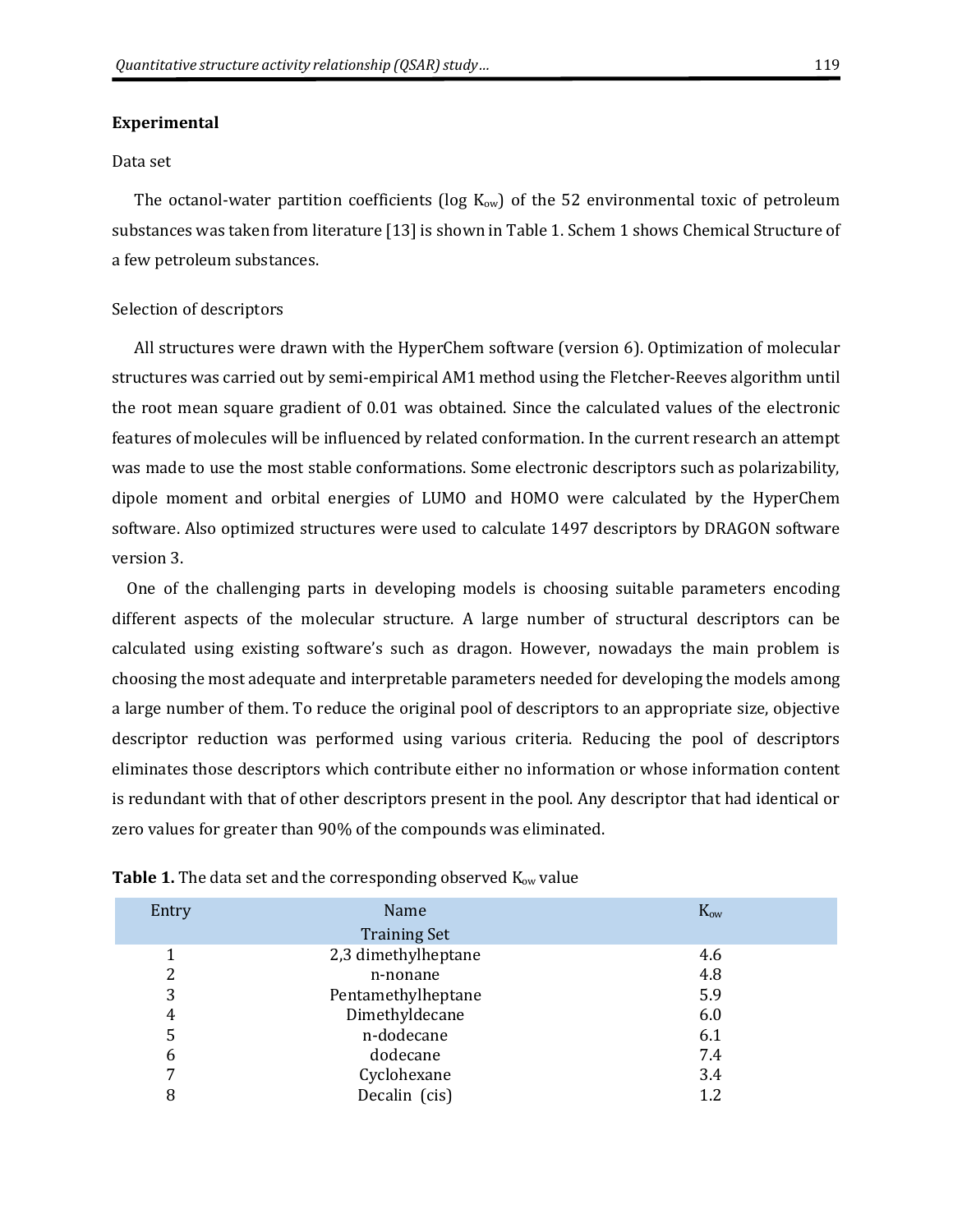#### **Experimental**

#### Data set

The octanol-water partition coefficients (log  $K_{ow}$ ) of the 52 environmental toxic of petroleum substances was taken from literature [13] is shown in Table 1. Schem 1 shows Chemical Structure of a few petroleum substances.

#### Selection of descriptors

All structures were drawn with the HyperChem software (version 6). Optimization of molecular structures was carried out by semi-empirical AM1 method using the Fletcher-Reeves algorithm until the root mean square gradient of 0.01 was obtained. Since the calculated values of the electronic features of molecules will be influenced by related conformation. In the current research an attempt was made to use the most stable conformations. Some electronic descriptors such as polarizability, dipole moment and orbital energies of LUMO and HOMO were calculated by the HyperChem software. Also optimized structures were used to calculate 1497 descriptors by DRAGON software version 3.

 One of the challenging parts in developing models is choosing suitable parameters encoding different aspects of the molecular structure. A large number of structural descriptors can be calculated using existing software's such as dragon. However, nowadays the main problem is choosing the most adequate and interpretable parameters needed for developing the models among a large number of them. To reduce the original pool of descriptors to an appropriate size, objective descriptor reduction was performed using various criteria. Reducing the pool of descriptors eliminates those descriptors which contribute either no information or whose information content is redundant with that of other descriptors present in the pool. Any descriptor that had identical or zero values for greater than 90% of the compounds was eliminated.

| Entry | Name<br><b>Training Set</b> | Kow |
|-------|-----------------------------|-----|
|       | 2,3 dimethylheptane         | 4.6 |
| 2     | n-nonane                    | 4.8 |
| 3     | Pentamethylheptane          | 5.9 |
| 4     | Dimethyldecane              | 6.0 |
| 5     | n-dodecane                  | 6.1 |
| 6     | dodecane                    | 7.4 |
| 7     | Cyclohexane                 | 3.4 |
| 8     | Decalin (cis)               | 1.2 |

| Table 1. The data set and the corresponding observed K <sub>ow</sub> value |  |  |  |
|----------------------------------------------------------------------------|--|--|--|
|----------------------------------------------------------------------------|--|--|--|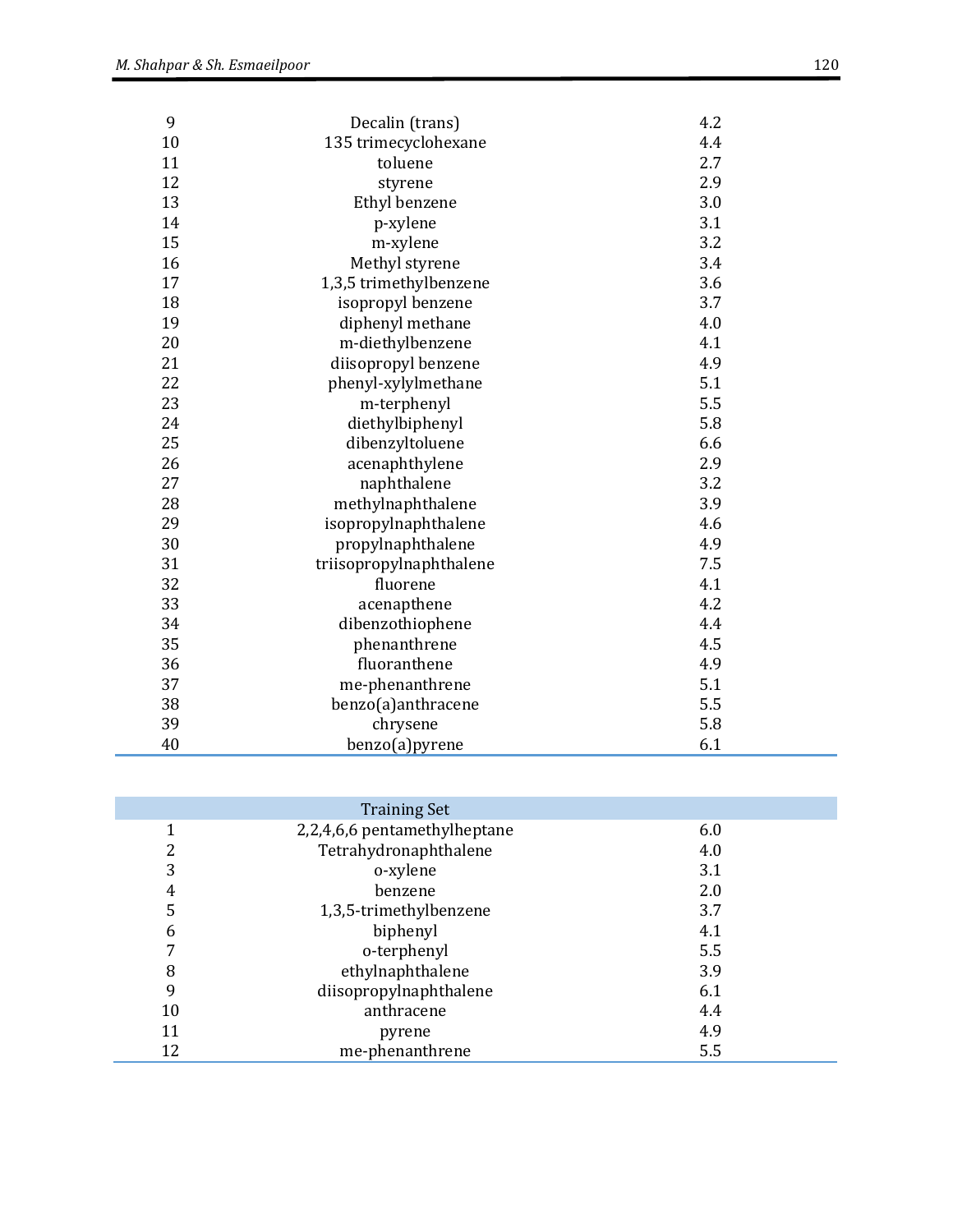| 9  | Decalin (trans)         | 4.2 |
|----|-------------------------|-----|
| 10 | 135 trimecyclohexane    | 4.4 |
| 11 | toluene                 | 2.7 |
| 12 | styrene                 | 2.9 |
| 13 | Ethyl benzene           | 3.0 |
| 14 | p-xylene                | 3.1 |
| 15 | m-xylene                | 3.2 |
| 16 | Methyl styrene          | 3.4 |
| 17 | 1,3,5 trimethylbenzene  | 3.6 |
| 18 | isopropyl benzene       | 3.7 |
| 19 | diphenyl methane        | 4.0 |
| 20 | m-diethylbenzene        | 4.1 |
| 21 | diisopropyl benzene     | 4.9 |
| 22 | phenyl-xylylmethane     | 5.1 |
| 23 | m-terphenyl             | 5.5 |
| 24 | diethylbiphenyl         | 5.8 |
| 25 | dibenzyltoluene         | 6.6 |
| 26 | acenaphthylene          | 2.9 |
| 27 | naphthalene             | 3.2 |
| 28 | methylnaphthalene       | 3.9 |
| 29 | isopropylnaphthalene    | 4.6 |
| 30 | propylnaphthalene       | 4.9 |
| 31 | triisopropylnaphthalene | 7.5 |
| 32 | fluorene                | 4.1 |
| 33 | acenapthene             | 4.2 |
| 34 | dibenzothiophene        | 4.4 |
| 35 | phenanthrene            | 4.5 |
| 36 | fluoranthene            | 4.9 |
| 37 | me-phenanthrene         | 5.1 |
| 38 | benzo(a)anthracene      | 5.5 |
| 39 | chrysene                | 5.8 |
| 40 | benzo(a)pyrene          | 6.1 |

|        | <b>Training Set</b>          |     |
|--------|------------------------------|-----|
|        | 2,2,4,6,6 pentamethylheptane | 6.0 |
| າ<br>∠ | Tetrahydronaphthalene        | 4.0 |
| 3      | o-xylene                     | 3.1 |
| 4      | benzene                      | 2.0 |
| 5      | 1,3,5-trimethylbenzene       | 3.7 |
| 6      | biphenyl                     | 4.1 |
|        | o-terphenyl                  | 5.5 |
| 8      | ethylnaphthalene             | 3.9 |
| 9      | diisopropylnaphthalene       | 6.1 |
| 10     | anthracene                   | 4.4 |
| 11     | pyrene                       | 4.9 |
| 12     | me-phenanthrene              | 5.5 |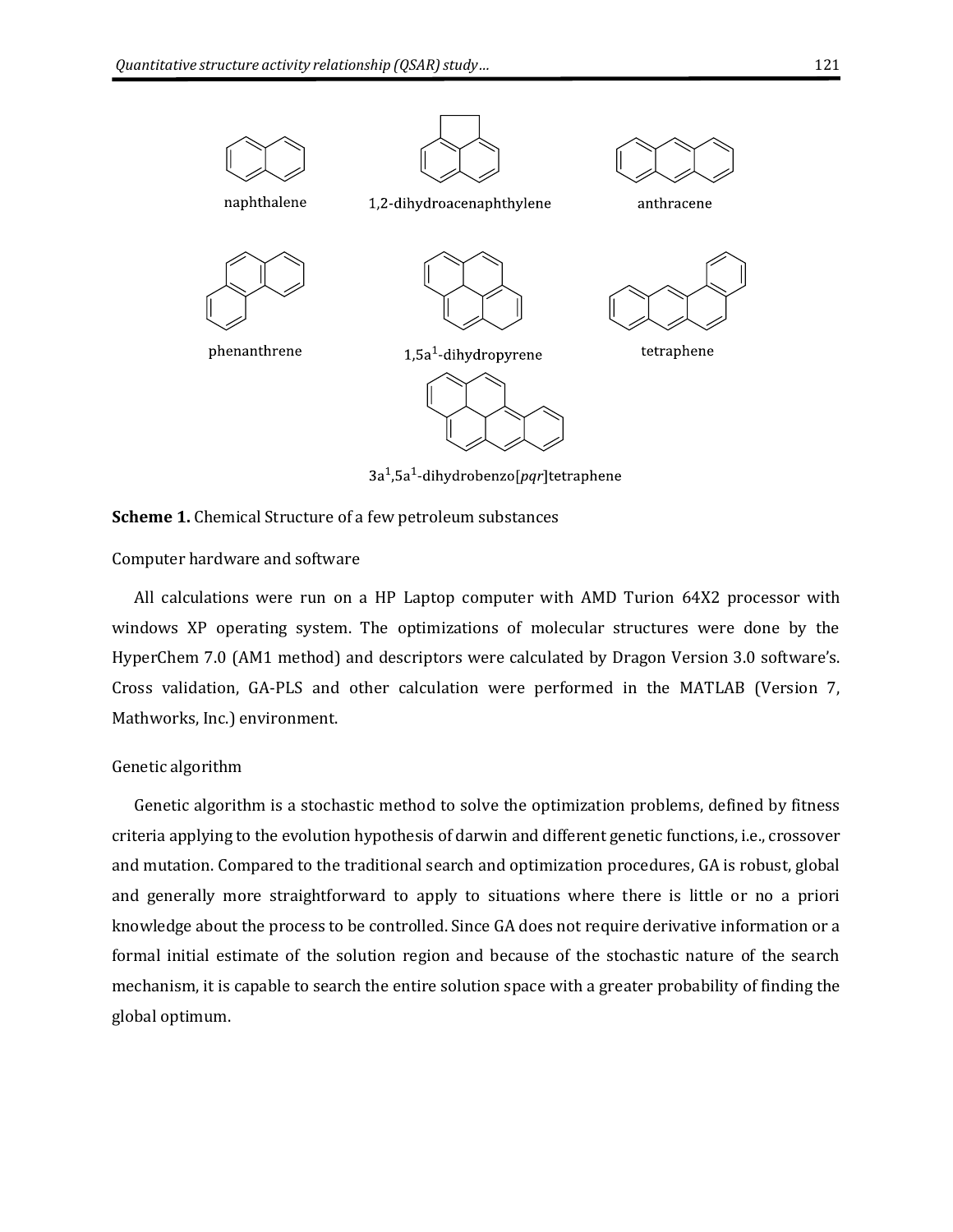

Computer hardware and software

All calculations were run on a HP Laptop computer with AMD Turion 64X2 processor with windows XP operating system. The optimizations of molecular structures were done by the HyperChem 7.0 (AM1 method) and descriptors were calculated by Dragon Version 3.0 software's. Cross validation, GA-PLS and other calculation were performed in the MATLAB (Version 7, Mathworks, Inc.) environment.

#### Genetic algorithm

Genetic algorithm is a stochastic method to solve the optimization problems, defined by fitness criteria applying to the evolution hypothesis of darwin and different genetic functions, i.e., crossover and mutation. Compared to the traditional search and optimization procedures, GA is robust, global and generally more straightforward to apply to situations where there is little or no a priori knowledge about the process to be controlled. Since GA does not require derivative information or a formal initial estimate of the solution region and because of the stochastic nature of the search mechanism, it is capable to search the entire solution space with a greater probability of finding the global optimum.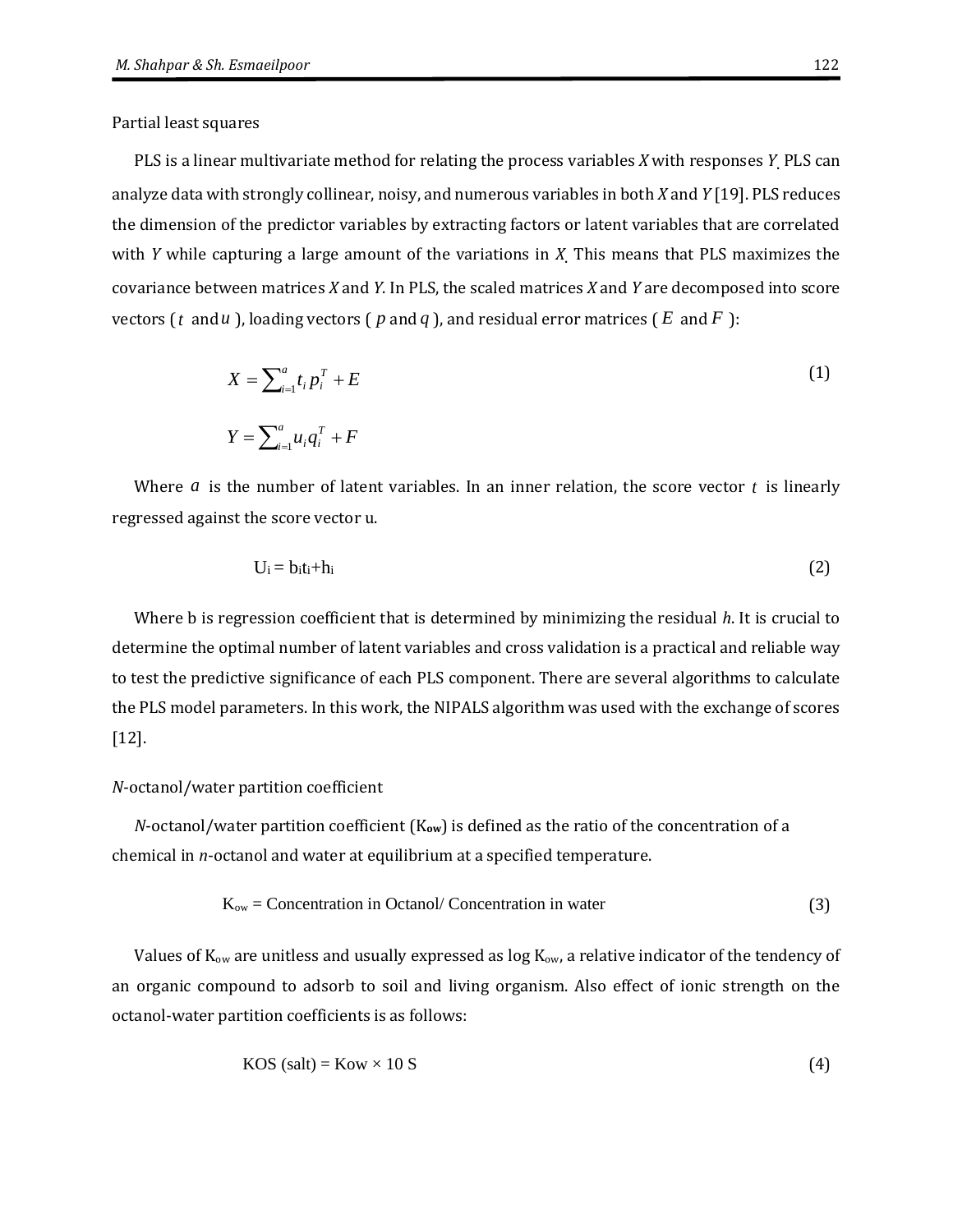Partial least squares

PLS is a linear multivariate method for relating the process variables *X* with responses *Y*. PLS can analyze data with strongly collinear, noisy, and numerous variables in both *X* and *Y* [19]. PLS reduces the dimension of the predictor variables by extracting factors or latent variables that are correlated with *Y* while capturing a large amount of the variations in *X*. This means that PLS maximizes the covariance between matrices *X* and *Y*. In PLS, the scaled matrices *X* and *Y* are decomposed into score vectors (t and  $u$  ), loading vectors (  $p$  and  $q$  ), and residual error matrices (  $E$  and  $F$  ):

$$
X = \sum_{i=1}^{a} t_i p_i^T + E
$$
  
\n
$$
Y = \sum_{i=1}^{a} u_i q_i^T + F
$$
\n(1)

Where  $a$  is the number of latent variables. In an inner relation, the score vector  $t$  is linearly regressed against the score vector u.

$$
U_i = b_i t_i + h_i \tag{2}
$$

Where b is regression coefficient that is determined by minimizing the residual *h*. It is crucial to determine the optimal number of latent variables and cross validation is a practical and reliable way to test the predictive significance of each PLS component. There are several algorithms to calculate the PLS model parameters. In this work, the NIPALS algorithm was used with the exchange of scores [12].

#### *N*-octanol/water partition coefficient

*N*-octanol/water partition coefficient (K**ow**) is defined as the ratio of the concentration of a chemical in *n*-octanol and water at equilibrium at a specified temperature.

$$
K_{ow} = \text{Concentration in Octanol} / \text{Concentration in water}
$$
 (3)

Values of  $K_{ow}$  are unitless and usually expressed as log  $K_{ow}$ , a relative indicator of the tendency of an organic compound to adsorb to soil and living organism. Also effect of ionic strength on the octanol-water partition coefficients is as follows:

$$
KOS (salt) = Kow \times 10 S
$$
 (4)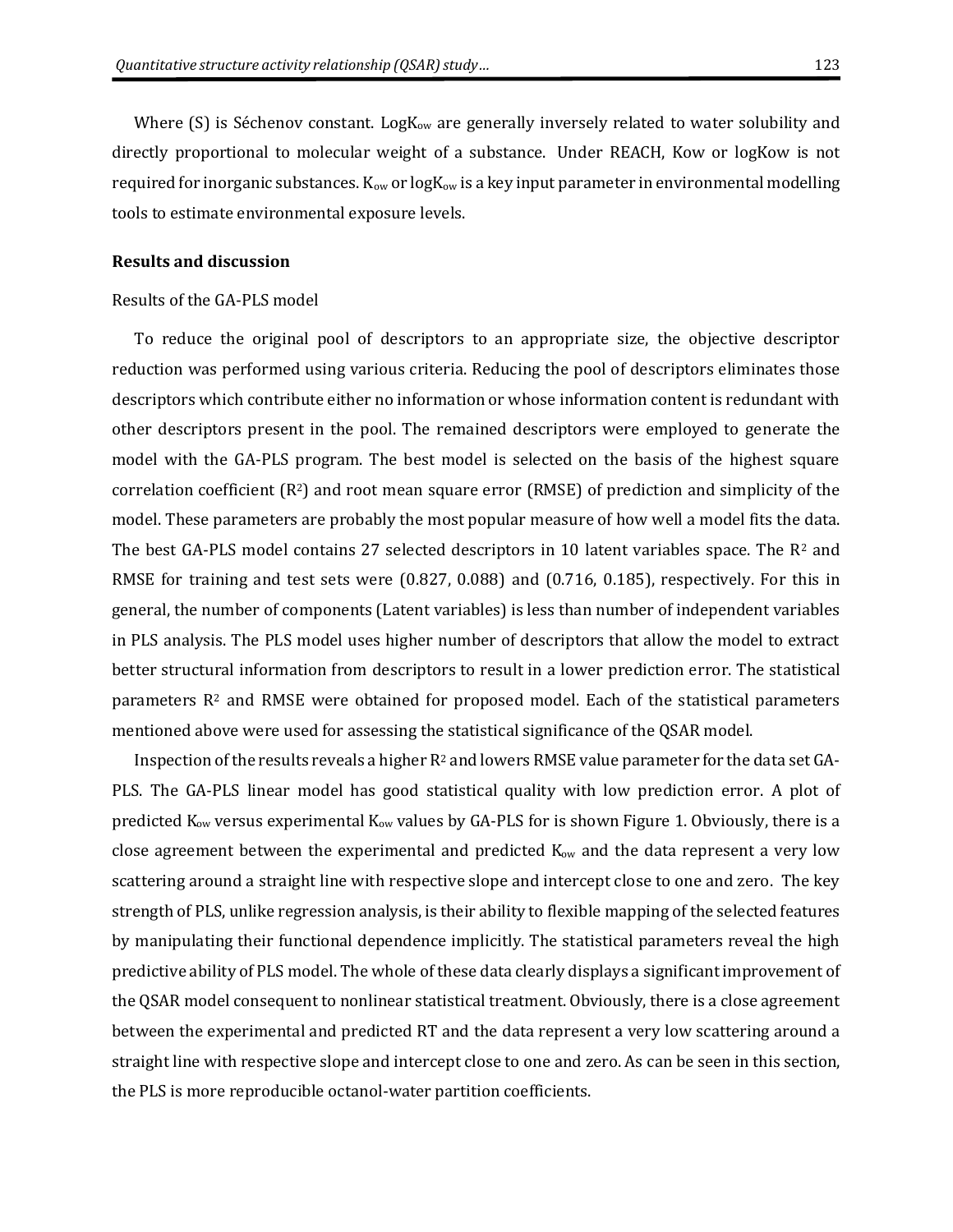Where  $(S)$  is Séchenov constant. Log $K_{ow}$  are generally inversely related to [water solubility](http://www.chemsafetypro.com/Topics/CRA/Water_Solubility.html) and directly proportional to molecular weight of a substance. Under REACH, Kow or logKow is not required for inorganic substances.  $K_{ow}$  or log $K_{ow}$  is a key input parameter in environmental modelling tools to estimate environmental exposure levels.

#### **Results and discussion**

#### Results of the GA-PLS model

To reduce the original pool of descriptors to an appropriate size, the objective descriptor reduction was performed using various criteria. Reducing the pool of descriptors eliminates those descriptors which contribute either no information or whose information content is redundant with other descriptors present in the pool. The remained descriptors were employed to generate the model with the GA-PLS program. The best model is selected on the basis of the highest square correlation coefficient  $(R^2)$  and root mean square error  $(RMSE)$  of prediction and simplicity of the model. These parameters are probably the most popular measure of how well a model fits the data. The best GA-PLS model contains 27 selected descriptors in 10 latent variables space. The  $R^2$  and RMSE for training and test sets were (0.827, 0.088) and (0.716, 0.185), respectively. For this in general, the number of components (Latent variables) is less than number of independent variables in PLS analysis. The PLS model uses higher number of descriptors that allow the model to extract better structural information from descriptors to result in a lower prediction error. The statistical parameters  $R<sup>2</sup>$  and RMSE were obtained for proposed model. Each of the statistical parameters mentioned above were used for assessing the statistical significance of the QSAR model.

Inspection of the results reveals a higher R<sup>2</sup> and lowers RMSE value parameter for the data set GA-PLS. The GA-PLS linear model has good statistical quality with low prediction error. A plot of predicted K<sub>ow</sub> versus experimental K<sub>ow</sub> values by GA-PLS for is shown Figure 1. Obviously, there is a close agreement between the experimental and predicted  $K_{ow}$  and the data represent a very low scattering around a straight line with respective slope and intercept close to one and zero. The key strength of PLS, unlike regression analysis, is their ability to flexible mapping of the selected features by manipulating their functional dependence implicitly. The statistical parameters reveal the high predictive ability of PLS model. The whole of these data clearly displays a significant improvement of the QSAR model consequent to nonlinear statistical treatment. Obviously, there is a close agreement between the experimental and predicted RT and the data represent a very low scattering around a straight line with respective slope and intercept close to one and zero. As can be seen in this section, the PLS is more reproducible octanol-water partition coefficients.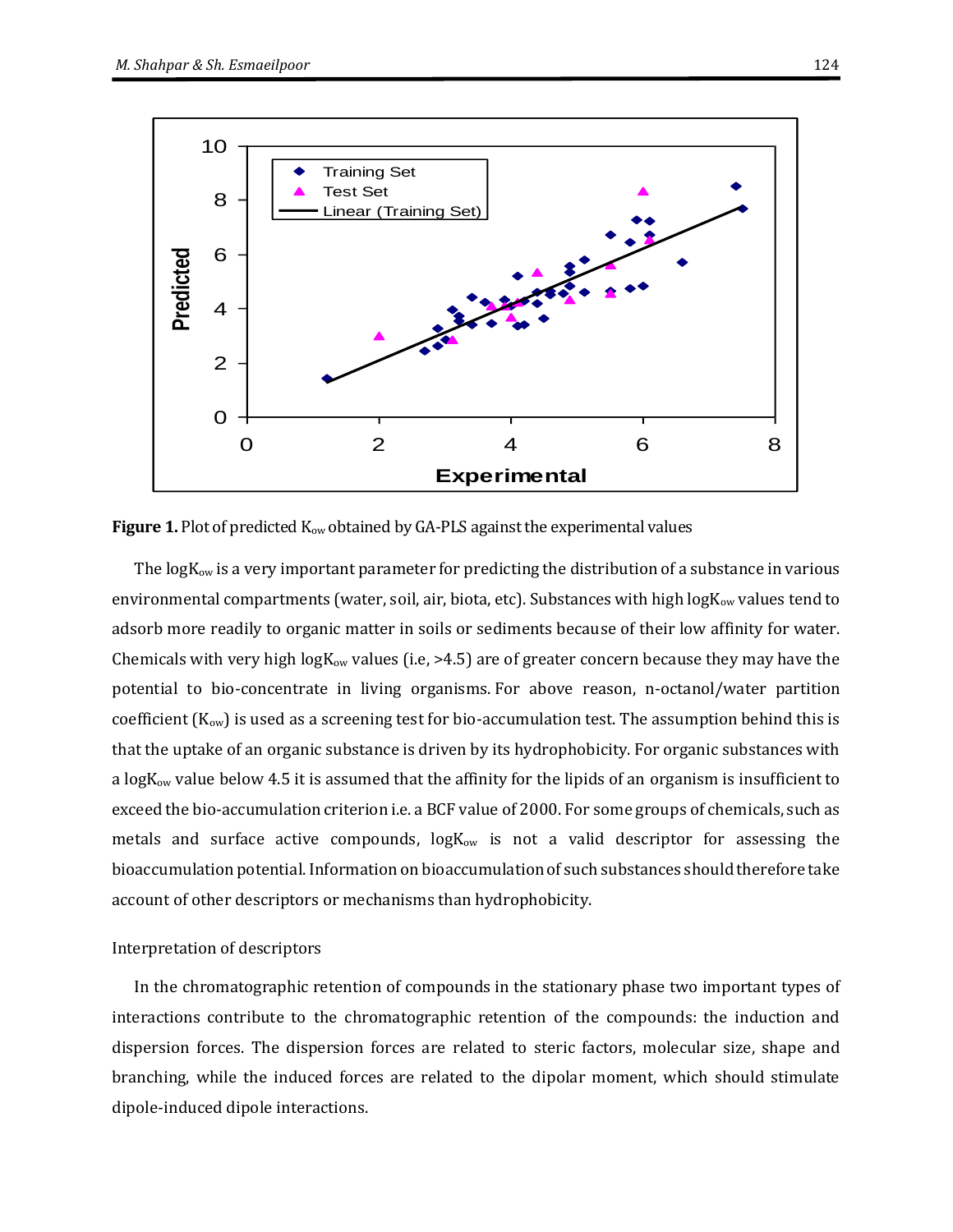

**Figure 1.** Plot of predicted K<sub>ow</sub> obtained by GA-PLS against the experimental values

The  $logK_{ow}$  is a very important parameter for predicting the distribution of a substance in various environmental compartments (water, soil, air, biota, etc). Substances with high  $logK_{ow}$  values tend to adsorb more readily to organic matter in soils or sediments because of their low affinity for water. Chemicals with very high log $K_{ow}$  values (i.e, >4.5) are of greater concern because they may have the potential to bio-concentrate in living organisms. For above reason, n-octanol/water partition coefficient  $(K_{ow})$  is used as a screening test for bio-accumulation test. The assumption behind this is that the uptake of an organic substance is driven by its hydrophobicity. For organic substances with a logK<sub>ow</sub> value below 4.5 it is assumed that the affinity for the lipids of an organism is insufficient to exceed the bio-accumulation criterion i.e. a BCF value of 2000. For some groups of chemicals, such as metals and [surface active compounds,](http://www.chemsafetypro.com/Topics/CRA/Surface_Tension.html)  $logK_{ow}$  is not a valid descriptor for assessing the bioaccumulation potential. Information on bioaccumulation of such substances should therefore take account of other descriptors or mechanisms than hydrophobicity.

#### Interpretation of descriptors

In the chromatographic retention of compounds in the stationary phase two important types of interactions contribute to the chromatographic retention of the compounds: the induction and dispersion forces. The dispersion forces are related to steric factors, molecular size, shape and branching, while the induced forces are related to the dipolar moment, which should stimulate dipole-induced dipole interactions.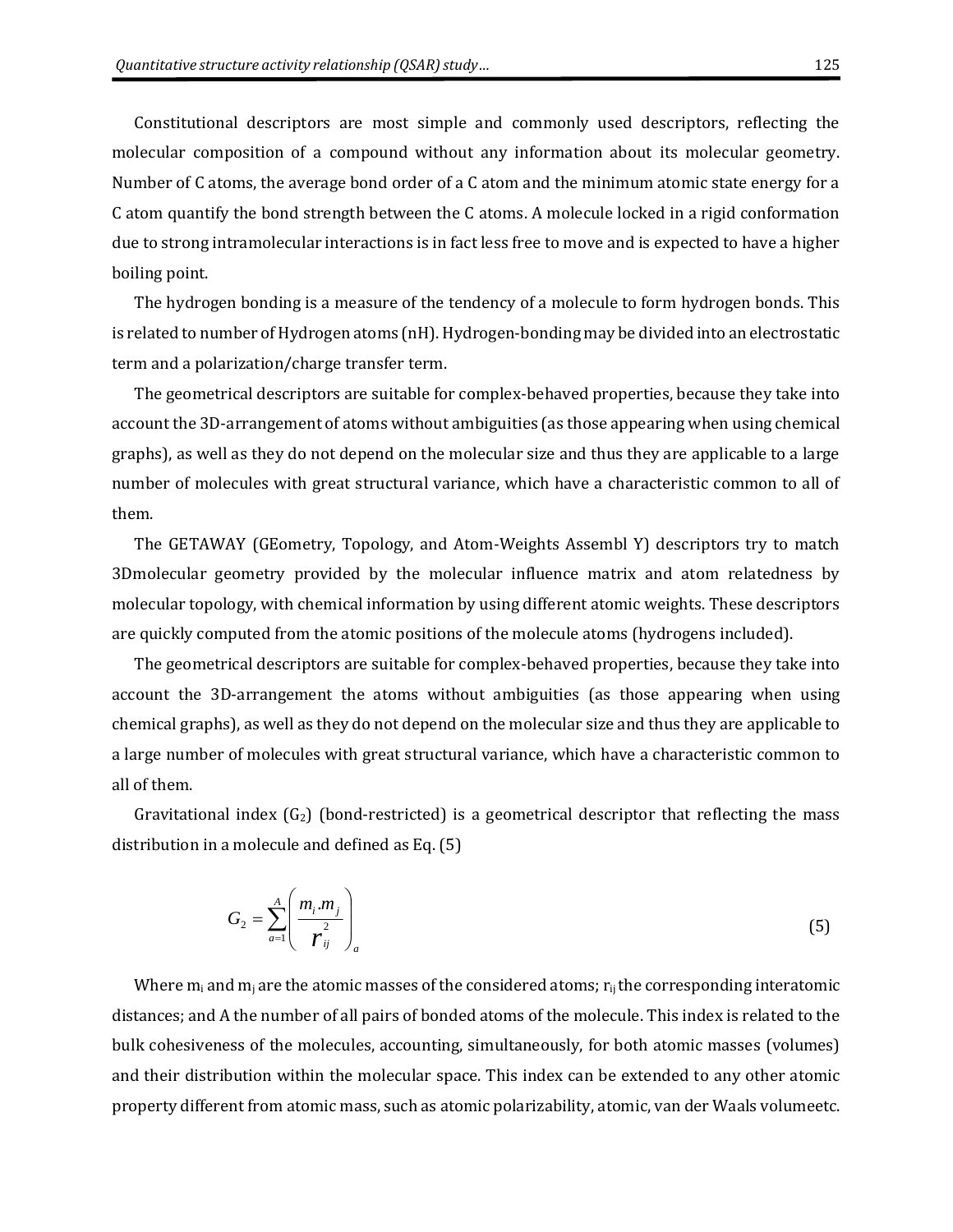Constitutional descriptors are most simple and commonly used descriptors, reflecting the molecular composition of a compound without any information about its molecular geometry. Number of C atoms, the average bond order of a C atom and the minimum atomic state energy for a C atom quantify the bond strength between the C atoms. A molecule locked in a rigid conformation due to strong intramolecular interactions is in fact less free to move and is expected to have a higher boiling point.

The hydrogen bonding is a measure of the tendency of a molecule to form hydrogen bonds. This is related to number of Hydrogen atoms (nH). Hydrogen-bonding may be divided into an electrostatic term and a polarization/charge transfer term.

The geometrical descriptors are suitable for complex-behaved properties, because they take into account the 3D-arrangement of atoms without ambiguities (as those appearing when using chemical graphs), as well as they do not depend on the molecular size and thus they are applicable to a large number of molecules with great structural variance, which have a characteristic common to all of them.

The GETAWAY (GEometry, Topology, and Atom-Weights Assembl Y) descriptors try to match 3Dmolecular geometry provided by the molecular influence matrix and atom relatedness by molecular topology, with chemical information by using different atomic weights. These descriptors are quickly computed from the atomic positions of the molecule atoms (hydrogens included).

The geometrical descriptors are suitable for complex-behaved properties, because they take into account the 3D-arrangement the atoms without ambiguities (as those appearing when using chemical graphs), as well as they do not depend on the molecular size and thus they are applicable to a large number of molecules with great structural variance, which have a characteristic common to all of them.

Gravitational index  $(G_2)$  (bond-restricted) is a geometrical descriptor that reflecting the mass distribution in a molecule and defined as Eq. (5)

$$
G_2 = \sum_{a=1}^{A} \left( \frac{m_i \cdot m_j}{r_{ij}} \right)_a \tag{5}
$$

Where  $m_i$  and  $m_j$  are the atomic masses of the considered atoms;  $r_{ij}$  the corresponding interatomic distances; and A the number of all pairs of bonded atoms of the molecule. This index is related to the bulk cohesiveness of the molecules, accounting, simultaneously, for both atomic masses (volumes) and their distribution within the molecular space. This index can be extended to any other atomic property different from atomic mass, such as atomic polarizability, atomic, van der Waals volumeetc.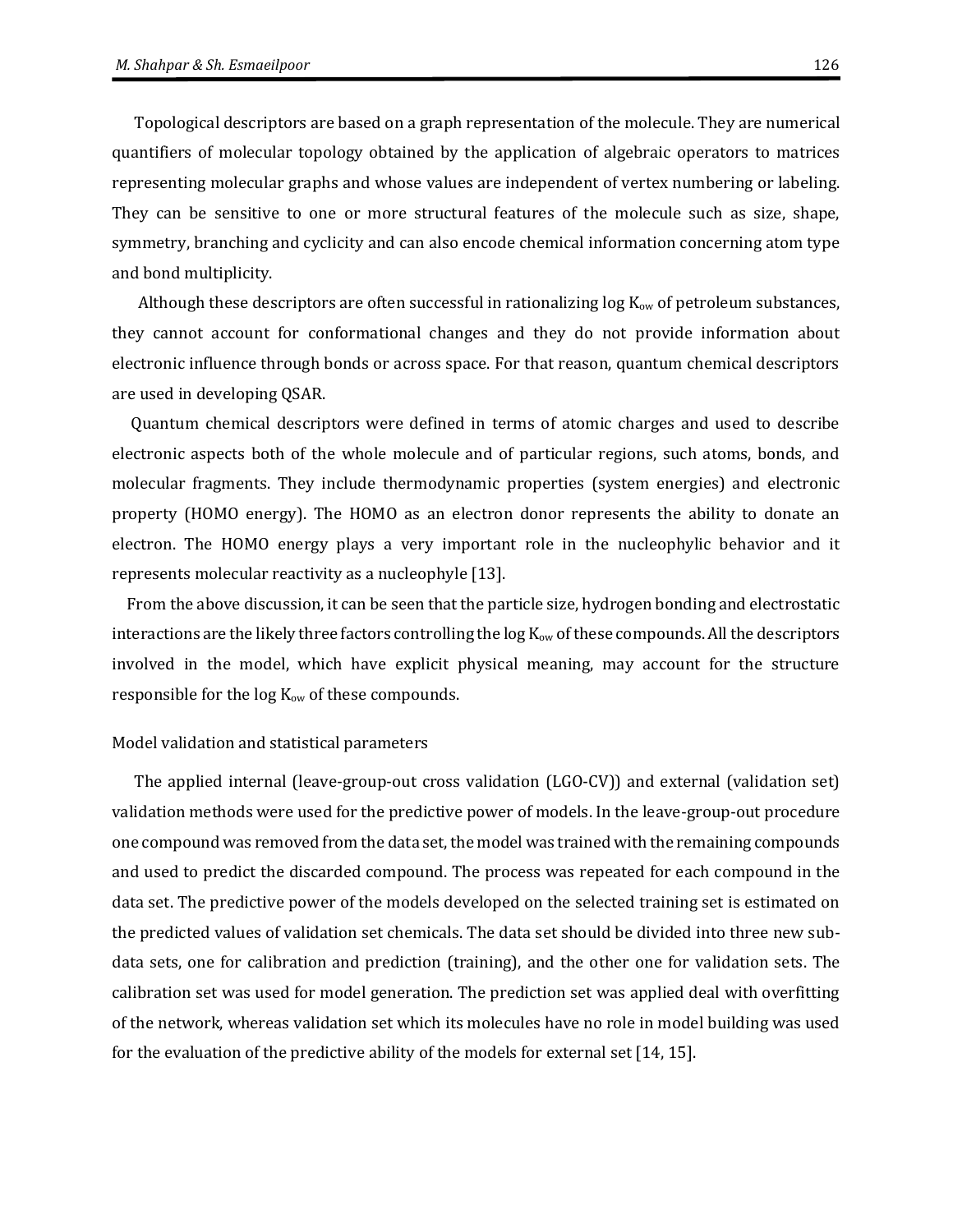Topological descriptors are based on a graph representation of the molecule. They are numerical quantifiers of molecular topology obtained by the application of algebraic operators to matrices representing molecular graphs and whose values are independent of vertex numbering or labeling. They can be sensitive to one or more structural features of the molecule such as size, shape, symmetry, branching and cyclicity and can also encode chemical information concerning atom type and bond multiplicity.

Although these descriptors are often successful in rationalizing  $\log K_{ow}$  of petroleum substances, they cannot account for conformational changes and they do not provide information about electronic influence through bonds or across space. For that reason, quantum chemical descriptors are used in developing QSAR.

 Quantum chemical descriptors were defined in terms of atomic charges and used to describe electronic aspects both of the whole molecule and of particular regions, such atoms, bonds, and molecular fragments. They include thermodynamic properties (system energies) and electronic property (HOMO energy). The HOMO as an electron donor represents the ability to donate an electron. The HOMO energy plays a very important role in the nucleophylic behavior and it represents molecular reactivity as a nucleophyle [13].

 From the above discussion, it can be seen that the particle size, hydrogen bonding and electrostatic interactions are the likely three factors controlling the  $log K<sub>ow</sub>$  of these compounds. All the descriptors involved in the model, which have explicit physical meaning, may account for the structure responsible for the  $log K<sub>ow</sub>$  of these compounds.

#### Model validation and statistical parameters

The applied internal (leave-group-out cross validation (LGO-CV)) and external (validation set) validation methods were used for the predictive power of models. In the leave-group-out procedure one compound was removed from the data set, the model was trained with the remaining compounds and used to predict the discarded compound. The process was repeated for each compound in the data set. The predictive power of the models developed on the selected training set is estimated on the predicted values of validation set chemicals. The data set should be divided into three new subdata sets, one for calibration and prediction (training), and the other one for validation sets. The calibration set was used for model generation. The prediction set was applied deal with overfitting of the network, whereas validation set which its molecules have no role in model building was used for the evaluation of the predictive ability of the models for external set [14, 15].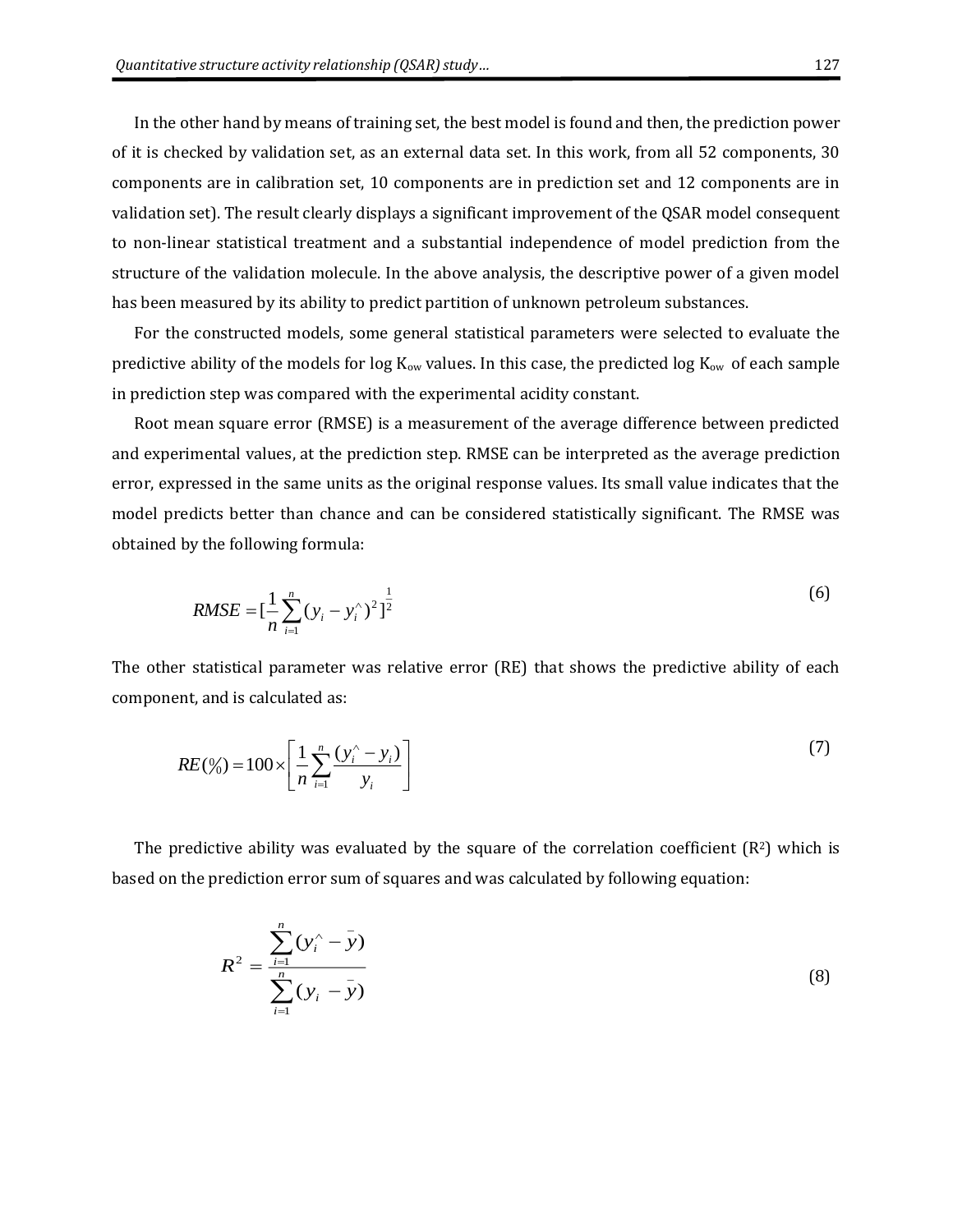In the other hand by means of training set, the best model is found and then, the prediction power of it is checked by validation set, as an external data set. In this work, from all 52 components, 30 components are in calibration set, 10 components are in prediction set and 12 components are in validation set). The result clearly displays a significant improvement of the QSAR model consequent to non-linear statistical treatment and a substantial independence of model prediction from the structure of the validation molecule. In the above analysis, the descriptive power of a given model has been measured by its ability to predict partition of unknown petroleum substances.

For the constructed models, some general statistical parameters were selected to evaluate the predictive ability of the models for log  $K_{ow}$  values. In this case, the predicted log  $K_{ow}$  of each sample in prediction step was compared with the experimental acidity constant.

Root mean square error (RMSE) is a measurement of the average difference between predicted and experimental values, at the prediction step. RMSE can be interpreted as the average prediction error, expressed in the same units as the original response values. Its small value indicates that the model predicts better than chance and can be considered statistically significant. The RMSE was obtained by the following formula:

$$
RMSE = \left[\frac{1}{n}\sum_{i=1}^{n} (y_i - y_i)^2\right]^{\frac{1}{2}}
$$
(6)

The other statistical parameter was relative error (RE) that shows the predictive ability of each component, and is calculated as:

$$
RE(\%) = 100 \times \left[ \frac{1}{n} \sum_{i=1}^{n} \frac{(y_i^{\land} - y_i)}{y_i} \right]
$$
 (7)

The predictive ability was evaluated by the square of the correlation coefficient  $(R<sup>2</sup>)$  which is based on the prediction error sum of squares and was calculated by following equation:

$$
R^{2} = \frac{\sum_{i=1}^{n} (y_{i}^{\wedge} - \bar{y})}{\sum_{i=1}^{n} (y_{i} - \bar{y})}
$$
(8)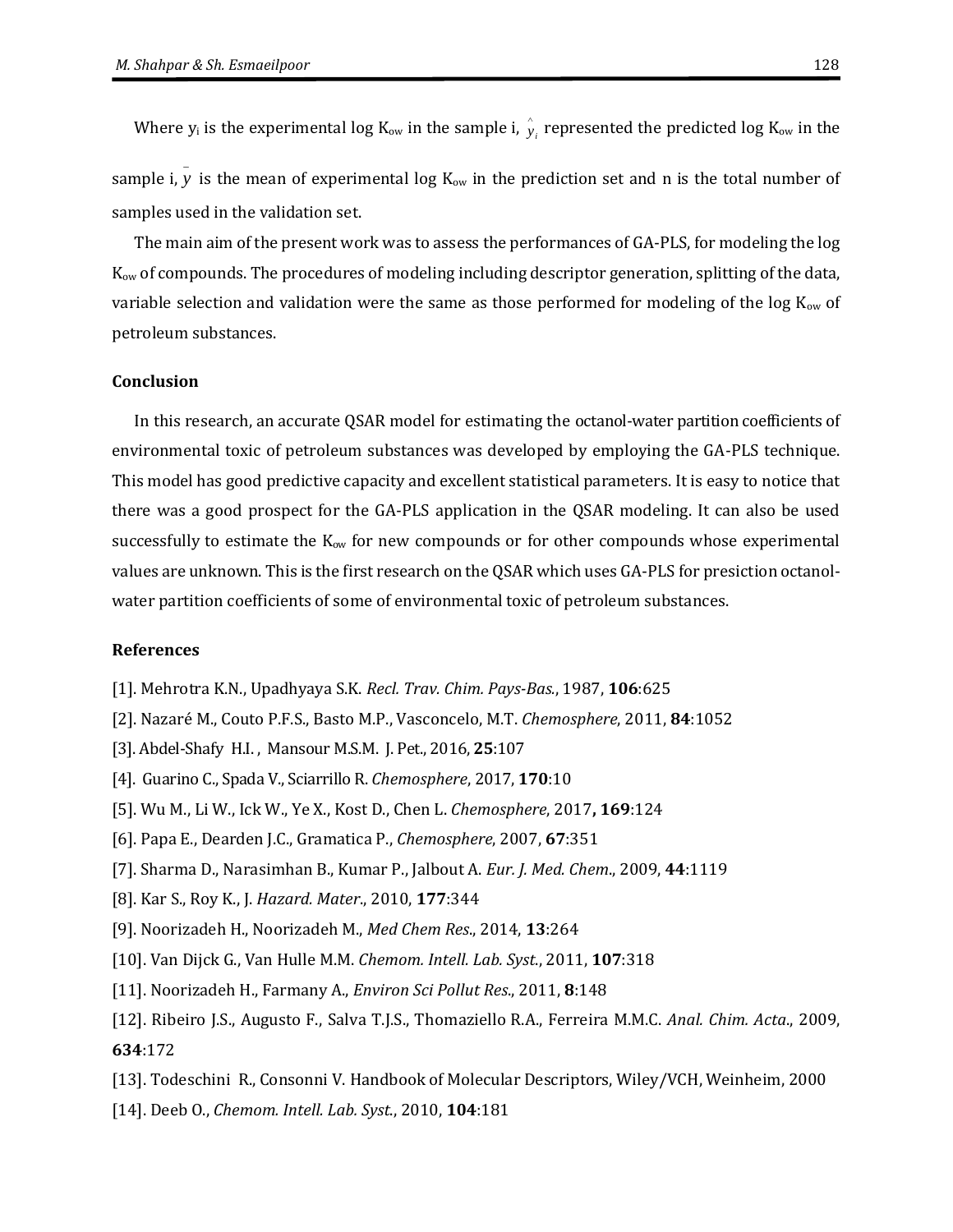Where  $y_i$  is the experimental log K<sub>ow</sub> in the sample i,  $\hat{y}_i$  represented the predicted log K<sub>ow</sub> in the

sample i,  $y$  is the mean of experimental log  $K_{ow}$  in the prediction set and n is the total number of samples used in the validation set.

The main aim of the present work was to assess the performances of GA-PLS, for modeling the log Kow of compounds. The procedures of modeling including descriptor generation, splitting of the data, variable selection and validation were the same as those performed for modeling of the log  $K_{ow}$  of petroleum substances.

#### **Conclusion**

In this research, an accurate QSAR model for estimating the octanol-water partition coefficients of environmental toxic of petroleum substances was developed by employing the GA-PLS technique. This model has good predictive capacity and excellent statistical parameters. It is easy to notice that there was a good prospect for the GA-PLS application in the QSAR modeling. It can also be used successfully to estimate the  $K_{ow}$  for new compounds or for other compounds whose experimental values are unknown. This is the first research on the QSAR which uses GA-PLS for presiction octanolwater partition coefficients of some of environmental toxic of petroleum substances.

### **References**

- [1]. Mehrotra K.N., Upadhyaya S.K. *Recl. Trav. Chim. Pays-Bas.*, 1987, **106**:625
- [2]. Nazaré M., Couto P.F.S., Basto M.P., Vasconcelo, M.T. *Chemosphere*, 2011, **84**:1052
- [3]. Abdel-Shafy [H.I. , Mansour](http://www.sciencedirect.com/science/article/pii/S1110062114200237) M.S.M. [J. Pet.](http://www.sciencedirect.com/science/journal/11100621), 2016, **25**:107
- [4]. Guarino C., Spada V., Sciarrillo R. *Chemosphere*, 2017, **170**:10
- [5]. Wu M., Li W., Ick W., Ye X., Kost D., Chen L. *Chemosphere*, 2017**, 169**:124
- [6]. Papa E., Dearden J.C., Gramatica P., *Chemosphere*, 2007, **67**:351
- [7]. Sharma D., Narasimhan B., Kumar P., Jalbout A. *Eur. J. Med. Chem*., 2009, **44**:1119
- [8]. Kar S., Roy K., J. *Hazard. Mater*., 2010, **177**:344
- [9]. Noorizadeh H., Noorizadeh M., *Med Chem Res*., 2014, **13**:264
- [10]. Van Dijck G., Van Hulle M.M. *Chemom. Intell. Lab. Syst*., 2011, **107**:318
- [11]. Noorizadeh H., Farmany A., *Environ Sci Pollut Res*., 2011, **8**:148
- [12]. Ribeiro J.S., Augusto F., Salva T.J.S., Thomaziello R.A., Ferreira M.M.C. *Anal. Chim. Acta*., 2009, **634**:172
- [13]. Todeschini R., Consonni V. Handbook of Molecular Descriptors, Wiley/VCH, Weinheim, 2000
- [14]. Deeb O., *Chemom. Intell. Lab. Syst*., 2010, **104**:181